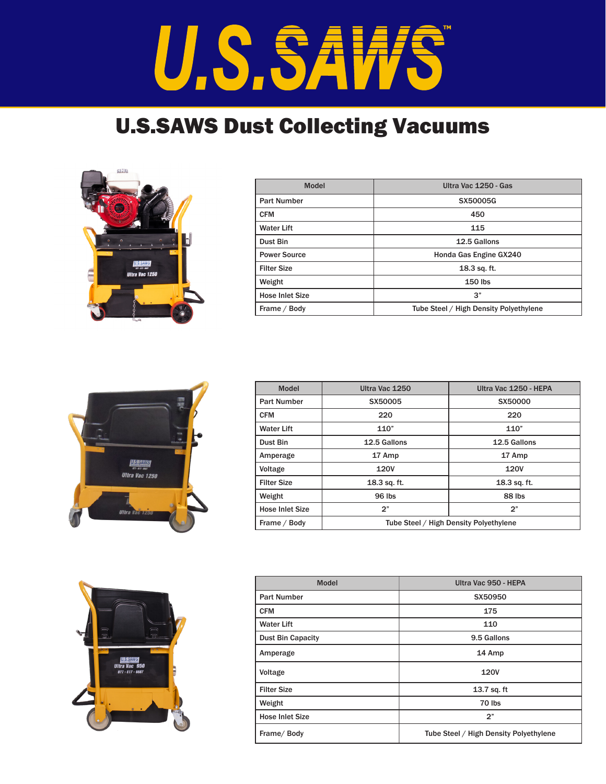## U.S.SAW **S**

## U.S.SAWS Dust Collecting Vacuums



| <b>Model</b>           | Ultra Vac 1250 - Gas                   |
|------------------------|----------------------------------------|
| <b>Part Number</b>     | <b>SX50005G</b>                        |
| <b>CFM</b>             | 450                                    |
| <b>Water Lift</b>      | 115                                    |
| Dust Bin               | 12.5 Gallons                           |
| <b>Power Source</b>    | Honda Gas Engine GX240                 |
| <b>Filter Size</b>     | 18.3 sq. ft.                           |
| Weight                 | $150$ lbs                              |
| <b>Hose Inlet Size</b> | 3"                                     |
| Frame / Body           | Tube Steel / High Density Polyethylene |



| <b>Model</b>           | Ultra Vac 1250                         | Ultra Vac 1250 - HEPA |
|------------------------|----------------------------------------|-----------------------|
| <b>Part Number</b>     | SX50005                                | SX50000               |
| <b>CFM</b>             | 220                                    | 220                   |
| <b>Water Lift</b>      | 110"                                   | 110"                  |
| Dust Bin               | 12.5 Gallons                           | 12.5 Gallons          |
| Amperage               | 17 Amp                                 | 17 Amp                |
| Voltage                | 120V                                   | 120V                  |
| <b>Filter Size</b>     | 18.3 sq. ft.                           | 18.3 sq. ft.          |
| Weight                 | 96 lbs                                 | 88 lbs                |
| <b>Hose Inlet Size</b> | 2"                                     | 2"                    |
| Frame / Body           | Tube Steel / High Density Polyethylene |                       |



| <b>Model</b>             | Ultra Vac 950 - HEPA                   |
|--------------------------|----------------------------------------|
| <b>Part Number</b>       | SX50950                                |
| <b>CFM</b>               | 175                                    |
| <b>Water Lift</b>        | 110                                    |
| <b>Dust Bin Capacity</b> | 9.5 Gallons                            |
| Amperage                 | 14 Amp                                 |
| Voltage                  | 120V                                   |
| <b>Filter Size</b>       | 13.7 sq. ft                            |
| Weight                   | 70 lbs                                 |
| <b>Hose Inlet Size</b>   | 2"                                     |
| Frame/Body               | Tube Steel / High Density Polyethylene |